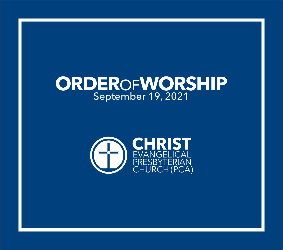# **ORDER**OF**WORSHIP** September 19, 2021

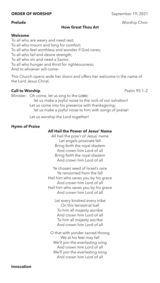## **ORDER OF WORSHIP** September 19, 2021

# **Prelude** Worship Choir

## **How Great Thou Art**

## **Welcome**

To all who are weary and need rest; To all who mourn and long for comfort; To all who feel worthless and wonder if God cares; To all who fail and desire strength; To all who sin and need a Savior; To all who hunger and thirst for righteousness; And to whoever will come–

This Church opens wide her doors and offers her welcome in the name of the Lord Jesus Christ.

## **Call to Worship Call to Worship Psalm 95:1-2**

Minister: Oh come, let us sing to the LORD;

 let us make a joyful noise to the rock of our salvation! Let us come into his presence with thanksgiving; let us make a joyful noise to him with songs of praise!

Let us worship the Lord together!

## **Hymn of Praise**

## **All Hail the Power of Jesus' Name**

All hail the pow'r of Jesus' name Let angels prostrate fall Bring forth the royal diadem And crown him Lord of all Bring forth the royal diadem And crown him Lord of all

Ye chosen seed of Israel's race Ye ransomed from the fall Hail him who saves you by his grace And crown him Lord of all Hail him who saves you by his grace And crown him Lord of all

Let every kindred every tribe On this terrestrial ball To him all majesty ascribe And crown him Lord of all To him all majesty ascribe And crown him Lord of all

O that with yonder sacred throng We at his feet may fall We'll join the everlasting song And crown him Lord of all We'll join the everlasting song And crown him Lord of all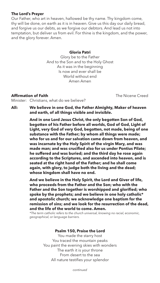# **The Lord's Prayer**

Our Father, who art in heaven, hallowed be thy name. Thy kingdom come, thy will be done, on earth as it is in heaven. Give us this day our daily bread, and forgive us our debts, as we forgive our debtors. And lead us not into temptation, but deliver us from evil. For thine is the kingdom, and the power, and the glory forever. Amen.

## **Gloria Patri**

Glory be to the Father And to the Son and to the Holy Ghost As it was in the beginning Is now and ever shall be World without end Amen Amen

# **Affirmation of Faith** The Nicene Creed

Minister: Christians, what do we believe?

**All: We believe in one God, the Father Almighty, Maker of heaven and earth, of all things visible and invisible.**

> **And in one Lord Jesus Christ, the only begotten Son of God, begotten of his Father before all worlds, God of God, Light of Light, very God of very God, begotten, not made, being of one substance with the Father; by whom all things were made; who for us and for our salvation came down from heaven, and was incarnate by the Holy Spirit of the virgin Mary, and was made man; and was crucified also for us under Pontius Pilate; he suffered and was buried; and the third day he rose again according to the Scriptures, and ascended into heaven, and is seated at the right hand of the Father; and he shall come again, with glory, to judge both the living and the dead; whose kingdom shall have no end.**

> **And we believe in the Holy Spirit, the Lord and Giver of life, who proceeds from the Father and the Son; who with the Father and the Son together is worshipped and glorified; who spoke by the prophets; and we believe in one holy catholic\* and apostolic church; we acknowledge one baptism for the remission of sins; and we look for the resurrection of the dead, and the life of the world to come. Amen.**

*\*The term catholic refers to the church universal, knowing no racial, economic, geographical, or language barriers.*

# **Psalm 150, Praise the Lord**

You made the starry host You traced the mountain peaks You paint the evening skies with wonders The earth it is your throne From desert to the sea All nature testifies your splendor

*continued*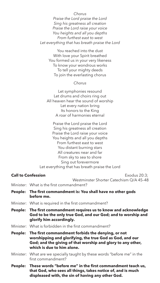## *Chorus*

*Praise the Lord praise the Lord Sing his greatness all creation Praise the Lord raise your voice You heights and all you depths From furthest east to west Let everything that has breath praise the Lord*

> You reached into the dust With love your Spirit breathed You formed us in your very likeness To know your wondrous works To tell your mighty deeds To join the everlasting chorus

## *Chorus*

Let symphonies resound Let drums and choirs ring out All heaven hear the sound of worship Let every nation bring Its honors to the King A roar of harmonies eternal

Praise the Lord praise the Lord Sing his greatness all creation Praise the Lord raise your voice You heights and all you depths From furthest east to west You distant burning stars All creatures near and far From sky to sea to shore Sing out forevermore

Let everything that has breath praise the Lord

## **Call to Confession <b>Call to Confession Exodus 20:3**

Westminster Shorter Catechism Q/A 45–48

Minister: What is the first commandment?

- **People: The first commandment is: You shall have no other gods before me.**
- Minister: What is required in the first commandment?
- **People: The first commandment requires us to know and acknowledge God to be the only true God, and our God; and to worship and glorify him accordingly.**
- Minister: What is forbidden in the first commandment?
- **People: The first commandment forbids the denying, or not worshipping and glorifying, the true God as God, and our God; and the giving of that worship and glory to any other, which is due to him alone.**
- Minister: What are we specially taught by these words "before me" in the first commandment?
- **People: These words "before me" in the first commandment teach us, that God, who sees all things, takes notice of, and is much displeased with, the sin of having any other God.**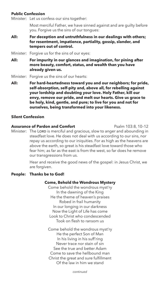# **Public Confession**

Minister: Let us confess our sins together:

Most merciful Father, we have sinned against and are guilty before you. Forgive us the sins of our tongues:

**All: For deception and untruthfulness in our dealings with others; for resentment, impatience, partiality, gossip, slander, and tempers out of control.**

Minister: Forgive us for the sins of our eyes:

**All: For impurity in our glances and imagination, for pining after more beauty, comfort, status, and wealth than you have already given us.**

Minister: Forgive us the sins of our hearts:

**All: For hard-heartedness toward you and our neighbors; for pride, self-absorption, self-pity and, above all, for rebelling against your lordship and doubting your love. Holy Father, kill our envy, remove our pride, and melt our hearts. Give us grace to be holy, kind, gentle, and pure; to live for you and not for ourselves, being transformed into your likeness.**

# **Silent Confession**

# **Assurance of Pardon and Comfort** Psalm 103:8, 10-12

Minister: The LORD is merciful and gracious, slow to anger and abounding in steadfast love. He does not deal with us according to our sins, nor repay us according to our iniquities. For as high as the heavens are above the earth, so great is his steadfast love toward those who fear him; as far as the east is from the west, so far does he remove our transgressions from us.

> Hear and receive the good news of the gospel: in Jesus Christ, we are forgiven.

# **People: Thanks be to God!**

# **Come, Behold the Wondrous Mystery**

Come behold the wondrous myst'ry In the dawning of the King He the theme of heaven's praises Robed in frail humanity In our longing in our darkness Now the Light of Life has come Look to Christ who condescended Took on flesh to ransom us

Come behold the wondrous myst'ry He the perfect Son of Man In his living in his suff'ring Never trace nor stain of sin See the true and better Adam Come to save the hellbound man Christ the great and sure fulfillment Of the law in him we stand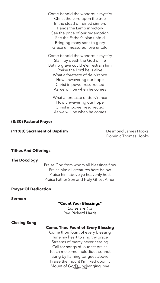Come behold the wondrous myst'ry Christ the Lord upon the tree In the stead of ruined sinners Hangs the Lamb in victory See the price of our redemption See the Father's plan unfold Bringing many sons to glory Grace unmeasured love untold

Come behold the wondrous myst'ry Slain by death the God of life But no grave could e'er restrain him Praise the Lord he is alive What a foretaste of deliv'rance How unwavering our hope Christ in power resurrected As we will be when he comes

What a foretaste of deliv'rance How unwavering our hope Christ in power resurrected As we will be when he comes

## **(8:30) Pastoral Prayer**

**(11:00) Sacrament of Baptism**  Desmond James Hooks

Dominic Thomas Hooks

## **Tithes And Offerings**

#### **The Doxology**

Praise God from whom all blessings flow Praise him all creatures here below Praise him above ye heavenly host Praise Father Son and Holy Ghost Amen

#### **Prayer Of Dedication**

#### **Sermon**

#### **"Count Your Blessings"**

*Ephesians 1:3* Rev. Richard Harris

#### **Closing Song**

## **Come, Thou Fount of Every Blessing**

Come thou fount of every blessing Tune my heart to sing thy grace Streams of mercy never ceasing Call for songs of loudest praise Teach me some melodious sonnet Sung by flaming tongues above Praise the mount I'm fixed upon it Mount of God's unchanging love